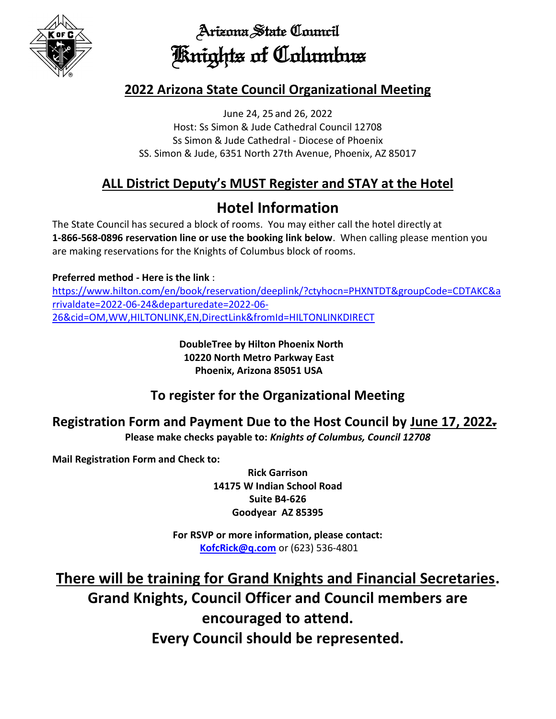

Arizona State Council Knights of Columbus

#### **2022 Arizona State Council Organizational Meeting**

June 24, 25 and 26, 2022 Host: Ss Simon & Jude Cathedral Council 12708 Ss Simon & Jude Cathedral - Diocese of Phoenix SS. Simon & Jude, 6351 North 27th Avenue, Phoenix, AZ 85017

## **ALL District Deputy's MUST Register and STAY at the Hotel**

# **Hotel Information**

The State Council has secured a block of rooms. You may either call the hotel directly at **1-866-568-0896 reservation line or use the booking link below**. When calling please mention you are making reservations for the Knights of Columbus block of rooms.

#### **Preferred method - Here is the link** :

[https://www.hilton.com/en/book/reservation/deeplink/?ctyhocn=PHXNTDT&groupCode=CDTAKC&a](https://www.hilton.com/en/book/reservation/deeplink/?ctyhocn=PHXNTDT&groupCode=CDTAKC&arrivaldate=2022-06-24&departuredate=2022-06-26&cid=OM,WW,HILTONLINK,EN,DirectLink&fromId=HILTONLINKDIRECT) [rrivaldate=2022-06-24&departuredate=2022-06-](https://www.hilton.com/en/book/reservation/deeplink/?ctyhocn=PHXNTDT&groupCode=CDTAKC&arrivaldate=2022-06-24&departuredate=2022-06-26&cid=OM,WW,HILTONLINK,EN,DirectLink&fromId=HILTONLINKDIRECT) [26&cid=OM,WW,HILTONLINK,EN,DirectLink&fromId=HILTONLINKDIRECT](https://www.hilton.com/en/book/reservation/deeplink/?ctyhocn=PHXNTDT&groupCode=CDTAKC&arrivaldate=2022-06-24&departuredate=2022-06-26&cid=OM,WW,HILTONLINK,EN,DirectLink&fromId=HILTONLINKDIRECT)

> **DoubleTree by Hilton Phoenix North 10220 North Metro Parkway East Phoenix, Arizona 85051 USA**

#### **To register for the Organizational Meeting**

# **Registration Form and Payment Due to the Host Council by June 17, 2022.**

**Please make checks payable to:** *Knights of Columbus, Council 12708*

**Mail Registration Form and Check to:** 

**Rick Garrison 14175 W Indian School Road Suite B4-626 Goodyear AZ 85395**

**For RSVP or more information, please contact: [KofcRick@q.com](mailto:KofcRick@q.com)** or (623) 536-4801

**There will be training for Grand Knights and Financial Secretaries. Grand Knights, Council Officer and Council members are encouraged to attend. Every Council should be represented.**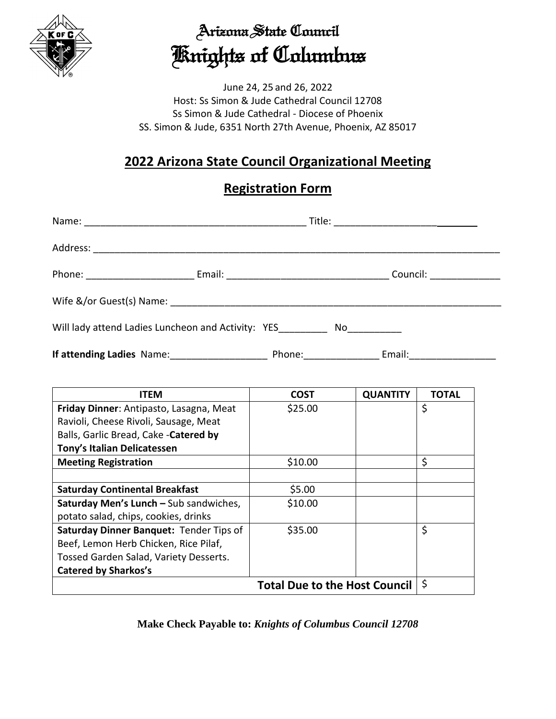

# Arizona State Council Knights of Columbus

June 24, 25 and 26, 2022 Host: Ss Simon & Jude Cathedral Council 12708 Ss Simon & Jude Cathedral - Diocese of Phoenix SS. Simon & Jude, 6351 North 27th Avenue, Phoenix, AZ 85017

### **2022 Arizona State Council Organizational Meeting**

#### **Registration Form**

|                                                                                    |  |                          | Council: ________________ |  |
|------------------------------------------------------------------------------------|--|--------------------------|---------------------------|--|
|                                                                                    |  |                          |                           |  |
| Will lady attend Ladies Luncheon and Activity: YES Now Now Now Now Now Now Now No. |  |                          |                           |  |
| If attending Ladies Name: ______________________                                   |  | Phone: _________________ | Email: ________________   |  |

| <b>ITEM</b>                             | <b>COST</b> | <b>QUANTITY</b> | <b>TOTAL</b> |  |
|-----------------------------------------|-------------|-----------------|--------------|--|
| Friday Dinner: Antipasto, Lasagna, Meat | \$25.00     |                 | \$           |  |
| Ravioli, Cheese Rivoli, Sausage, Meat   |             |                 |              |  |
| Balls, Garlic Bread, Cake - Catered by  |             |                 |              |  |
| Tony's Italian Delicatessen             |             |                 |              |  |
| <b>Meeting Registration</b>             | \$10.00     |                 | \$           |  |
|                                         |             |                 |              |  |
| <b>Saturday Continental Breakfast</b>   | \$5.00      |                 |              |  |
| Saturday Men's Lunch - Sub sandwiches,  | \$10.00     |                 |              |  |
| potato salad, chips, cookies, drinks    |             |                 |              |  |
| Saturday Dinner Banquet: Tender Tips of | \$35.00     |                 | \$           |  |
| Beef, Lemon Herb Chicken, Rice Pilaf,   |             |                 |              |  |
| Tossed Garden Salad, Variety Desserts.  |             |                 |              |  |
| <b>Catered by Sharkos's</b>             |             |                 |              |  |
| <b>Total Due to the Host Council</b>    |             |                 |              |  |

**Make Check Payable to:** *Knights of Columbus Council 12708*